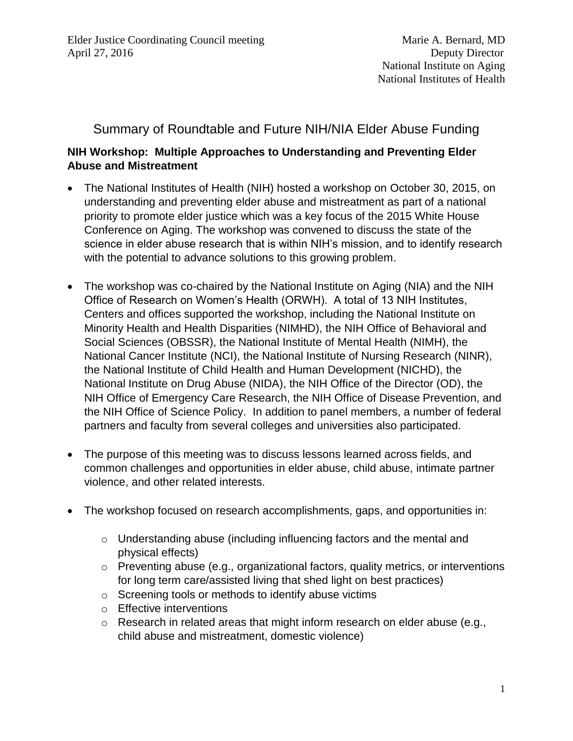## Summary of Roundtable and Future NIH/NIA Elder Abuse Funding

## **NIH Workshop: Multiple Approaches to Understanding and Preventing Elder Abuse and Mistreatment**

- The National Institutes of Health (NIH) hosted a workshop on October 30, 2015, on understanding and preventing elder abuse and mistreatment as part of a national priority to promote elder justice which was a key focus of the 2015 White House Conference on Aging. The workshop was convened to discuss the state of the science in elder abuse research that is within NIH's mission, and to identify research with the potential to advance solutions to this growing problem.
- The workshop was co-chaired by the National Institute on Aging (NIA) and the NIH Office of Research on Women's Health (ORWH). A total of 13 NIH Institutes, Centers and offices supported the workshop, including the National Institute on Minority Health and Health Disparities (NIMHD), the NIH Office of Behavioral and Social Sciences (OBSSR), the National Institute of Mental Health (NIMH), the National Cancer Institute (NCI), the National Institute of Nursing Research (NINR), the National Institute of Child Health and Human Development (NICHD), the National Institute on Drug Abuse (NIDA), the NIH Office of the Director (OD), the NIH Office of Emergency Care Research, the NIH Office of Disease Prevention, and the NIH Office of Science Policy. In addition to panel members, a number of federal partners and faculty from several colleges and universities also participated.
- The purpose of this meeting was to discuss lessons learned across fields, and common challenges and opportunities in elder abuse, child abuse, intimate partner violence, and other related interests.
- The workshop focused on research accomplishments, gaps, and opportunities in:
	- o Understanding abuse (including influencing factors and the mental and physical effects)
	- o Preventing abuse (e.g., organizational factors, quality metrics, or interventions for long term care/assisted living that shed light on best practices)
	- o Screening tools or methods to identify abuse victims
	- o Effective interventions
	- $\circ$  Research in related areas that might inform research on elder abuse (e.g., child abuse and mistreatment, domestic violence)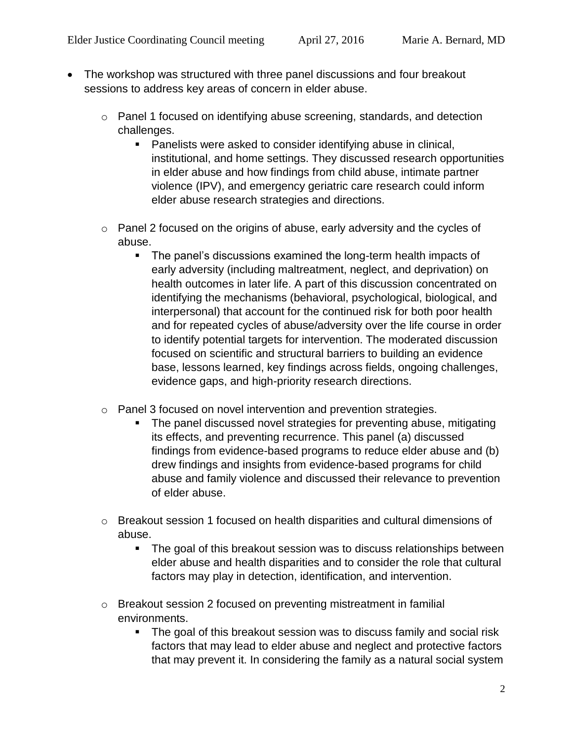- The workshop was structured with three panel discussions and four breakout sessions to address key areas of concern in elder abuse.
	- o Panel 1 focused on identifying abuse screening, standards, and detection challenges.
		- **Panelists were asked to consider identifying abuse in clinical,** institutional, and home settings. They discussed research opportunities in elder abuse and how findings from child abuse, intimate partner violence (IPV), and emergency geriatric care research could inform elder abuse research strategies and directions.
	- o Panel 2 focused on the origins of abuse, early adversity and the cycles of abuse.
		- The panel's discussions examined the long-term health impacts of early adversity (including maltreatment, neglect, and deprivation) on health outcomes in later life. A part of this discussion concentrated on identifying the mechanisms (behavioral, psychological, biological, and interpersonal) that account for the continued risk for both poor health and for repeated cycles of abuse/adversity over the life course in order to identify potential targets for intervention. The moderated discussion focused on scientific and structural barriers to building an evidence base, lessons learned, key findings across fields, ongoing challenges, evidence gaps, and high-priority research directions.
	- o Panel 3 focused on novel intervention and prevention strategies.
		- The panel discussed novel strategies for preventing abuse, mitigating its effects, and preventing recurrence. This panel (a) discussed findings from evidence-based programs to reduce elder abuse and (b) drew findings and insights from evidence-based programs for child abuse and family violence and discussed their relevance to prevention of elder abuse.
	- o Breakout session 1 focused on health disparities and cultural dimensions of abuse.
		- The goal of this breakout session was to discuss relationships between elder abuse and health disparities and to consider the role that cultural factors may play in detection, identification, and intervention.
	- o Breakout session 2 focused on preventing mistreatment in familial environments.
		- The goal of this breakout session was to discuss family and social risk factors that may lead to elder abuse and neglect and protective factors that may prevent it. In considering the family as a natural social system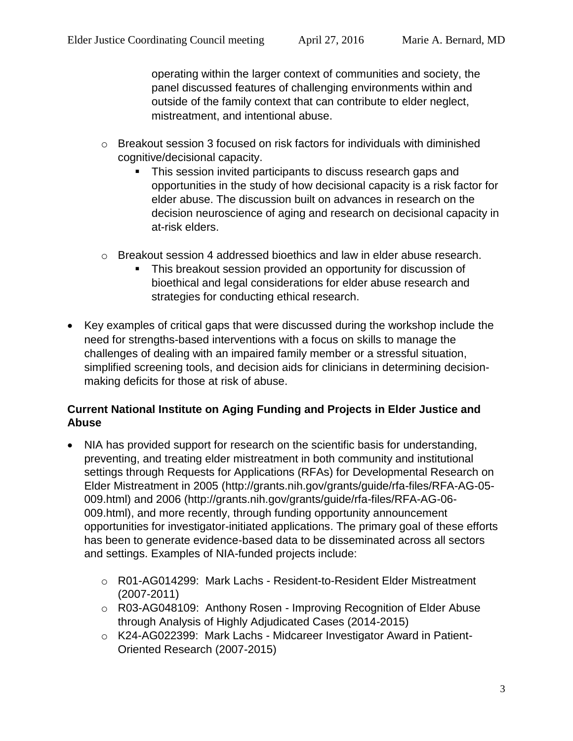operating within the larger context of communities and society, the panel discussed features of challenging environments within and outside of the family context that can contribute to elder neglect, mistreatment, and intentional abuse.

- $\circ$  Breakout session 3 focused on risk factors for individuals with diminished cognitive/decisional capacity.
	- This session invited participants to discuss research gaps and opportunities in the study of how decisional capacity is a risk factor for elder abuse. The discussion built on advances in research on the decision neuroscience of aging and research on decisional capacity in at-risk elders.
- o Breakout session 4 addressed bioethics and law in elder abuse research.
	- This breakout session provided an opportunity for discussion of bioethical and legal considerations for elder abuse research and strategies for conducting ethical research.
- Key examples of critical gaps that were discussed during the workshop include the need for strengths-based interventions with a focus on skills to manage the challenges of dealing with an impaired family member or a stressful situation, simplified screening tools, and decision aids for clinicians in determining decisionmaking deficits for those at risk of abuse.

## **Current National Institute on Aging Funding and Projects in Elder Justice and Abuse**

- NIA has provided support for research on the scientific basis for understanding, preventing, and treating elder mistreatment in both community and institutional settings through Requests for Applications (RFAs) for Developmental Research on Elder Mistreatment in 2005 (http://grants.nih.gov/grants/guide/rfa-files/RFA-AG-05- 009.html) and 2006 (http://grants.nih.gov/grants/guide/rfa-files/RFA-AG-06- 009.html), and more recently, through funding opportunity announcement opportunities for investigator-initiated applications. The primary goal of these efforts has been to generate evidence-based data to be disseminated across all sectors and settings. Examples of NIA-funded projects include:
	- o R01-AG014299: Mark Lachs Resident-to-Resident Elder Mistreatment (2007-2011)
	- o R03-AG048109: Anthony Rosen Improving Recognition of Elder Abuse through Analysis of Highly Adjudicated Cases (2014-2015)
	- o K24-AG022399: Mark Lachs Midcareer Investigator Award in Patient-Oriented Research (2007-2015)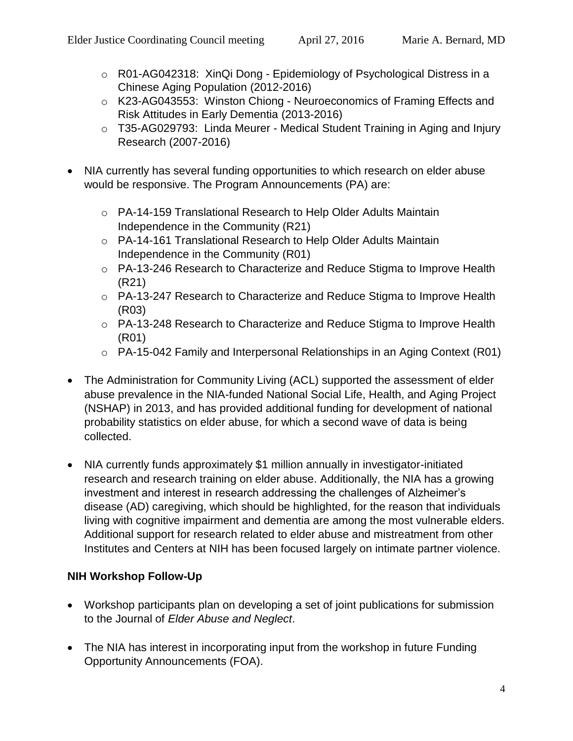- o R01-AG042318: XinQi Dong Epidemiology of Psychological Distress in a Chinese Aging Population (2012-2016)
- o K23-AG043553: Winston Chiong Neuroeconomics of Framing Effects and Risk Attitudes in Early Dementia (2013-2016)
- o T35-AG029793: Linda Meurer Medical Student Training in Aging and Injury Research (2007-2016)
- NIA currently has several funding opportunities to which research on elder abuse would be responsive. The Program Announcements (PA) are:
	- o PA-14-159 Translational Research to Help Older Adults Maintain Independence in the Community (R21)
	- o PA-14-161 Translational Research to Help Older Adults Maintain Independence in the Community (R01)
	- o PA-13-246 Research to Characterize and Reduce Stigma to Improve Health (R21)
	- o PA-13-247 Research to Characterize and Reduce Stigma to Improve Health (R03)
	- o PA-13-248 Research to Characterize and Reduce Stigma to Improve Health (R01)
	- o PA-15-042 Family and Interpersonal Relationships in an Aging Context (R01)
- The Administration for Community Living (ACL) supported the assessment of elder abuse prevalence in the NIA-funded National Social Life, Health, and Aging Project (NSHAP) in 2013, and has provided additional funding for development of national probability statistics on elder abuse, for which a second wave of data is being collected.
- NIA currently funds approximately \$1 million annually in investigator-initiated research and research training on elder abuse. Additionally, the NIA has a growing investment and interest in research addressing the challenges of Alzheimer's disease (AD) caregiving, which should be highlighted, for the reason that individuals living with cognitive impairment and dementia are among the most vulnerable elders. Additional support for research related to elder abuse and mistreatment from other Institutes and Centers at NIH has been focused largely on intimate partner violence.

## **NIH Workshop Follow-Up**

- Workshop participants plan on developing a set of joint publications for submission to the Journal of *Elder Abuse and Neglect*.
- The NIA has interest in incorporating input from the workshop in future Funding Opportunity Announcements (FOA).